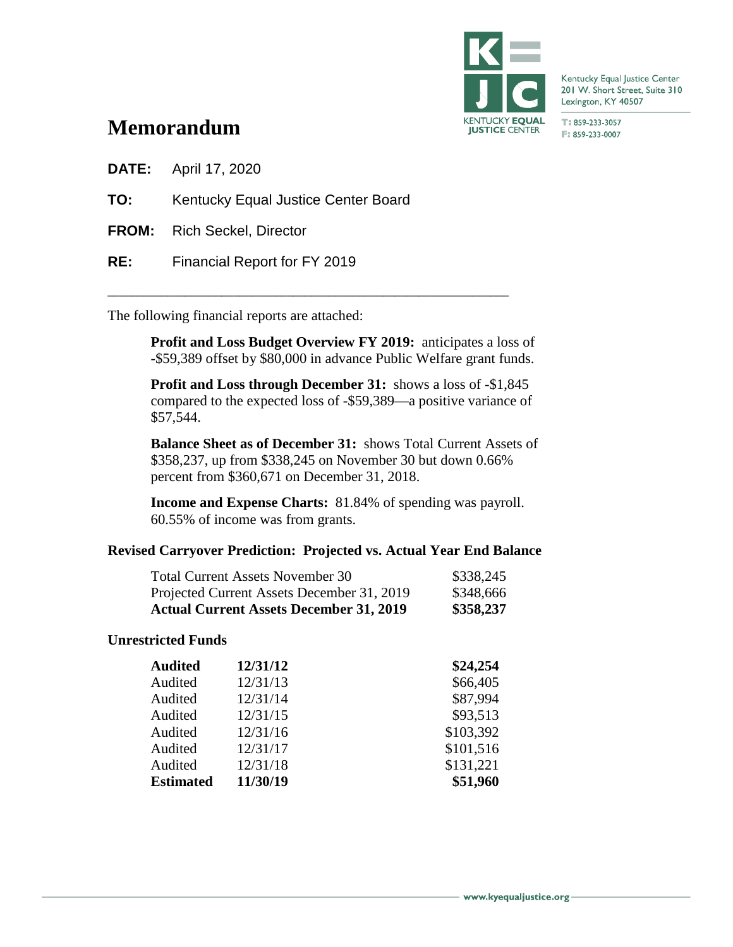

Kentucky Equal Justice Center 201 W. Short Street, Suite 310 Lexington, KY 40507

T:859-233-3057 F: 859-233-0007

# **Memorandum**

**DATE:** April 17, 2020

**TO:** Kentucky Equal Justice Center Board

**FROM:** Rich Seckel, Director

**RE:** Financial Report for FY 2019

The following financial reports are attached:

**Profit and Loss Budget Overview FY 2019:** anticipates a loss of -\$59,389 offset by \$80,000 in advance Public Welfare grant funds.

\_\_\_\_\_\_\_\_\_\_\_\_\_\_\_\_\_\_\_\_\_\_\_\_\_\_\_\_\_\_\_\_\_\_\_\_\_\_\_\_\_\_\_\_\_\_\_\_\_\_\_\_\_\_\_\_\_\_\_\_\_\_\_\_\_\_\_

**Profit and Loss through December 31:** shows a loss of -\$1,845 compared to the expected loss of -\$59,389—a positive variance of \$57,544.

**Balance Sheet as of December 31:** shows Total Current Assets of \$358,237, up from \$338,245 on November 30 but down 0.66% percent from \$360,671 on December 31, 2018.

**Income and Expense Charts:** 81.84% of spending was payroll. 60.55% of income was from grants.

## **Revised Carryover Prediction: Projected vs. Actual Year End Balance**

| <b>Actual Current Assets December 31, 2019</b> | \$358,237 |
|------------------------------------------------|-----------|
| Projected Current Assets December 31, 2019     | \$348,666 |
| <b>Total Current Assets November 30</b>        | \$338,245 |

## **Unrestricted Funds**

| Audited          | 12/31/12 | \$24,254  |
|------------------|----------|-----------|
| Audited          | 12/31/13 | \$66,405  |
| Audited          | 12/31/14 | \$87,994  |
| Audited          | 12/31/15 | \$93,513  |
| Audited          | 12/31/16 | \$103,392 |
| Audited          | 12/31/17 | \$101,516 |
| Audited          | 12/31/18 | \$131,221 |
| <b>Estimated</b> | 11/30/19 | \$51,960  |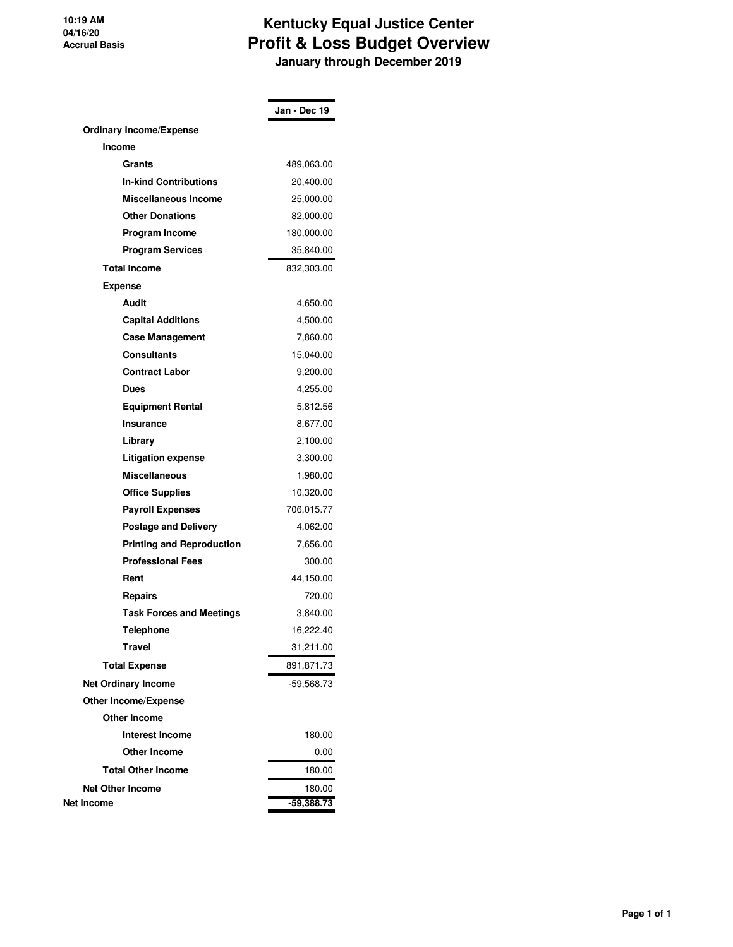### **10:19 AM 04/16/20 Accrual Basis**

## **Kentucky Equal Justice Center Profit & Loss Budget Overview January through December 2019**

|                                  | Jan - Dec 19 |
|----------------------------------|--------------|
| <b>Ordinary Income/Expense</b>   |              |
| <b>Income</b>                    |              |
| Grants                           | 489,063.00   |
| <b>In-kind Contributions</b>     | 20,400.00    |
| Miscellaneous Income             | 25,000.00    |
| <b>Other Donations</b>           | 82,000.00    |
| Program Income                   | 180,000.00   |
| <b>Program Services</b>          | 35,840.00    |
| <b>Total Income</b>              | 832,303.00   |
| <b>Expense</b>                   |              |
| Audit                            | 4,650.00     |
| <b>Capital Additions</b>         | 4,500.00     |
| <b>Case Management</b>           | 7,860.00     |
| <b>Consultants</b>               | 15,040.00    |
| <b>Contract Labor</b>            | 9,200.00     |
| Dues                             | 4.255.00     |
| <b>Equipment Rental</b>          | 5,812.56     |
| <b>Insurance</b>                 | 8,677.00     |
| Library                          | 2,100.00     |
| Litigation expense               | 3,300.00     |
| <b>Miscellaneous</b>             | 1,980.00     |
| <b>Office Supplies</b>           | 10,320.00    |
| <b>Payroll Expenses</b>          | 706,015.77   |
| <b>Postage and Delivery</b>      | 4,062.00     |
| <b>Printing and Reproduction</b> | 7,656.00     |
| <b>Professional Fees</b>         | 300.00       |
| Rent                             | 44,150.00    |
| Repairs                          | 720.00       |
| <b>Task Forces and Meetings</b>  | 3,840.00     |
| <b>Telephone</b>                 | 16,222.40    |
| Travel                           | 31,211.00    |
| <b>Total Expense</b>             | 891,871.73   |
| <b>Net Ordinary Income</b>       | $-59,568.73$ |
| <b>Other Income/Expense</b>      |              |
| <b>Other Income</b>              |              |
| <b>Interest Income</b>           | 180.00       |
| <b>Other Income</b>              | 0.00         |
| <b>Total Other Income</b>        | 180.00       |
| <b>Net Other Income</b>          | 180.00       |
| Net Income                       | $-59,388.73$ |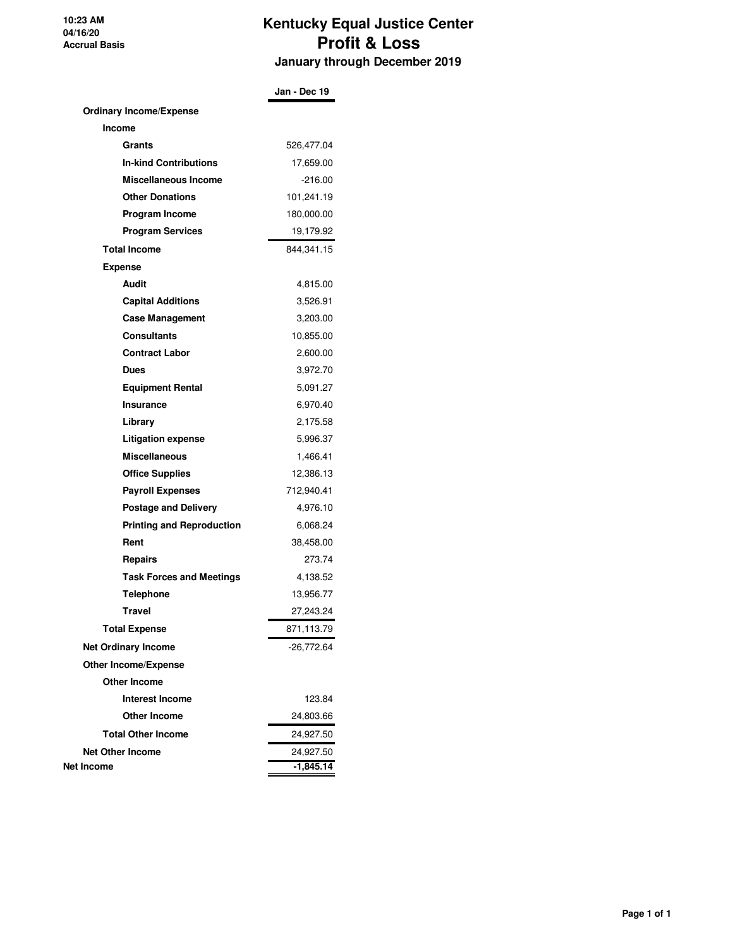**10:23 AM 04/16/20 Accrual Basis**

## **Kentucky Equal Justice Center Profit & Loss January through December 2019**

|                                  | Jan - Dec 19 |
|----------------------------------|--------------|
| <b>Ordinary Income/Expense</b>   |              |
| <b>Income</b>                    |              |
| Grants                           | 526,477.04   |
| <b>In-kind Contributions</b>     | 17,659.00    |
| Miscellaneous Income             | $-216.00$    |
| <b>Other Donations</b>           | 101,241.19   |
| Program Income                   | 180,000.00   |
| <b>Program Services</b>          | 19,179.92    |
| <b>Total Income</b>              | 844, 341. 15 |
| <b>Expense</b>                   |              |
| Audit                            | 4,815.00     |
| <b>Capital Additions</b>         | 3,526.91     |
| <b>Case Management</b>           | 3,203.00     |
| Consultants                      | 10,855.00    |
| <b>Contract Labor</b>            | 2,600.00     |
| <b>Dues</b>                      | 3,972.70     |
| <b>Equipment Rental</b>          | 5,091.27     |
| Insurance                        | 6,970.40     |
| Library                          | 2,175.58     |
| <b>Litigation expense</b>        | 5,996.37     |
| <b>Miscellaneous</b>             | 1,466.41     |
| <b>Office Supplies</b>           | 12,386.13    |
| <b>Payroll Expenses</b>          | 712,940.41   |
| <b>Postage and Delivery</b>      | 4,976.10     |
| <b>Printing and Reproduction</b> | 6,068.24     |
| Rent                             | 38,458.00    |
| Repairs                          | 273.74       |
| <b>Task Forces and Meetings</b>  | 4,138.52     |
| Telephone                        | 13,956.77    |
| <b>Travel</b>                    | 27.243.24    |
| <b>Total Expense</b>             | 871,113.79   |
| <b>Net Ordinary Income</b>       | -26,772.64   |
| <b>Other Income/Expense</b>      |              |
| <b>Other Income</b>              |              |
| Interest Income                  | 123.84       |
| <b>Other Income</b>              | 24,803.66    |
| <b>Total Other Income</b>        | 24,927.50    |
| <b>Net Other Income</b>          | 24,927.50    |
| Net Income                       | $-1,845.14$  |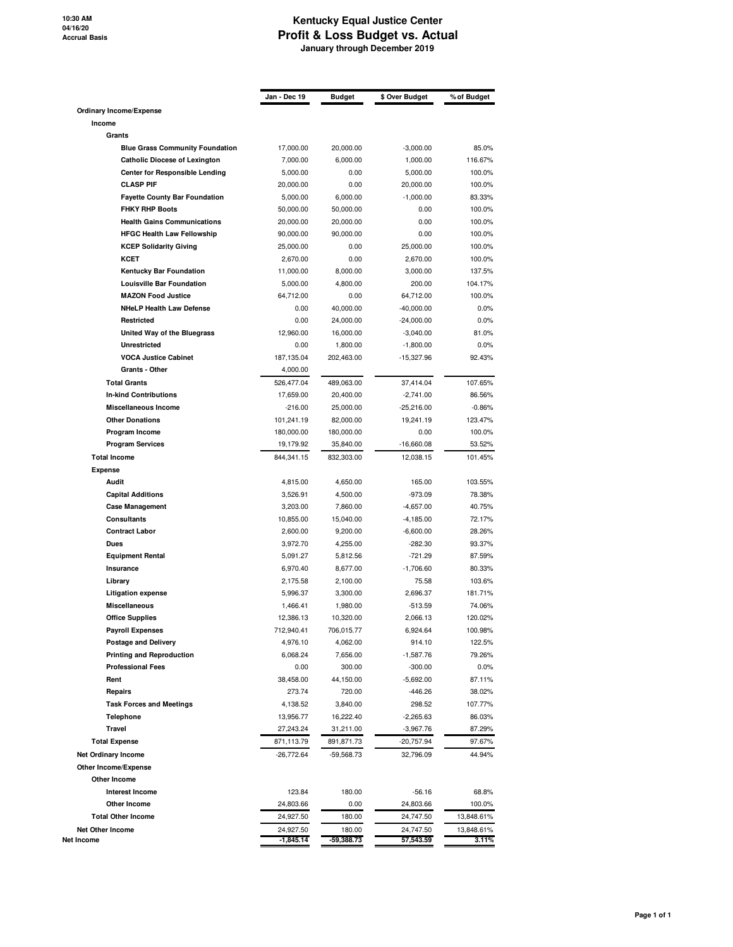### **Kentucky Equal Justice Center Profit & Loss Budget vs. Actual January through December 2019**

|                                            | Jan - Dec 19            | <b>Budget</b>        | \$ Over Budget      | % of Budget       |
|--------------------------------------------|-------------------------|----------------------|---------------------|-------------------|
| Ordinary Income/Expense                    |                         |                      |                     |                   |
| Income                                     |                         |                      |                     |                   |
| Grants                                     |                         |                      |                     |                   |
| <b>Blue Grass Community Foundation</b>     | 17,000.00               | 20,000.00            | $-3,000.00$         | 85.0%             |
| <b>Catholic Diocese of Lexington</b>       | 7,000.00                | 6,000.00             | 1,000.00            | 116.67%           |
| <b>Center for Responsible Lending</b>      | 5,000.00                | 0.00                 | 5,000.00            | 100.0%            |
| <b>CLASP PIF</b>                           | 20,000.00               | 0.00                 | 20,000.00           | 100.0%            |
| <b>Fayette County Bar Foundation</b>       | 5,000.00                | 6,000.00             | $-1,000.00$         | 83.33%            |
| <b>FHKY RHP Boots</b>                      | 50,000.00               | 50,000.00            | 0.00                | 100.0%            |
| <b>Health Gains Communications</b>         | 20,000.00               | 20,000.00            | 0.00                | 100.0%            |
| <b>HFGC Health Law Fellowship</b>          | 90,000.00               | 90,000.00            | 0.00                | 100.0%            |
| <b>KCEP Solidarity Giving</b>              | 25,000.00               | 0.00                 | 25,000.00           | 100.0%            |
| <b>KCET</b>                                | 2,670.00                | 0.00                 | 2,670.00            | 100.0%            |
| Kentucky Bar Foundation                    | 11,000.00               | 8,000.00             | 3,000.00            | 137.5%            |
| <b>Louisville Bar Foundation</b>           | 5,000.00                | 4,800.00             | 200.00              | 104.17%           |
| <b>MAZON Food Justice</b>                  | 64,712.00               | 0.00                 | 64,712.00           | 100.0%            |
| <b>NHeLP Health Law Defense</b>            | 0.00                    | 40,000.00            | $-40,000.00$        | 0.0%              |
| Restricted                                 | 0.00                    | 24,000.00            | $-24,000.00$        | 0.0%              |
| United Way of the Bluegrass                | 12,960.00               | 16,000.00            | $-3,040.00$         | 81.0%             |
| Unrestricted                               | 0.00                    | 1,800.00             | $-1,800.00$         | 0.0%              |
| <b>VOCA Justice Cabinet</b>                | 187,135.04              | 202,463.00           | $-15,327.96$        | 92.43%            |
| Grants - Other                             | 4,000.00                |                      |                     |                   |
| <b>Total Grants</b>                        | 526,477.04              | 489,063.00           | 37,414.04           | 107.65%           |
| <b>In-kind Contributions</b>               | 17,659.00               | 20,400.00            | $-2,741.00$         | 86.56%            |
| Miscellaneous Income                       | $-216.00$               | 25,000.00            | $-25,216.00$        | $-0.86%$          |
| <b>Other Donations</b>                     | 101,241.19              | 82,000.00            | 19,241.19           | 123.47%           |
| Program Income                             | 180,000.00              | 180,000.00           | 0.00                | 100.0%            |
| <b>Program Services</b>                    | 19,179.92               | 35,840.00            | $-16,660.08$        | 53.52%            |
| <b>Total Income</b>                        | 844,341.15              | 832,303.00           | 12,038.15           | 101.45%           |
| <b>Expense</b>                             |                         |                      |                     |                   |
| Audit                                      | 4,815.00                | 4,650.00             | 165.00              | 103.55%           |
| <b>Capital Additions</b>                   | 3,526.91                | 4,500.00             | -973.09             | 78.38%            |
| <b>Case Management</b>                     | 3,203.00                | 7,860.00             | $-4,657.00$         | 40.75%            |
| Consultants                                | 10,855.00               | 15,040.00            | $-4,185.00$         | 72.17%            |
| <b>Contract Labor</b>                      | 2,600.00                | 9,200.00             | $-6,600.00$         | 28.26%            |
| Dues                                       | 3,972.70                | 4,255.00             | -282.30             | 93.37%            |
| <b>Equipment Rental</b>                    | 5,091.27                | 5,812.56             | $-721.29$           | 87.59%            |
| Insurance                                  | 6,970.40                | 8,677.00             | $-1,706.60$         | 80.33%            |
| Library                                    | 2,175.58                | 2,100.00             | 75.58               | 103.6%            |
| <b>Litigation expense</b><br>Miscellaneous | 5,996.37                | 3,300.00             | 2,696.37            | 181.71%           |
| <b>Office Supplies</b>                     | 1,466.41                | 1,980.00             | -513.59<br>2,066.13 | 74.06%<br>120.02% |
| <b>Payroll Expenses</b>                    | 12,386.13<br>712,940.41 | 10,320.00            |                     |                   |
| <b>Postage and Delivery</b>                |                         | 706,015.77           | 6,924.64<br>914.10  | 100.98%           |
| <b>Printing and Reproduction</b>           | 4,976.10<br>6,068.24    | 4,062.00<br>7,656.00 | $-1,587.76$         | 122.5%<br>79.26%  |
| <b>Professional Fees</b>                   |                         |                      | $-300.00$           | 0.0%              |
| Rent                                       | 0.00<br>38,458.00       | 300.00<br>44,150.00  | $-5,692.00$         | 87.11%            |
| Repairs                                    | 273.74                  | 720.00               | -446.26             | 38.02%            |
| <b>Task Forces and Meetings</b>            | 4,138.52                | 3,840.00             | 298.52              | 107.77%           |
| <b>Telephone</b>                           | 13,956.77               | 16,222.40            | $-2,265.63$         | 86.03%            |
| Travel                                     | 27,243.24               | 31,211.00            | $-3,967.76$         | 87.29%            |
|                                            |                         |                      |                     |                   |
| <b>Total Expense</b>                       | 871,113.79              | 891,871.73           | -20,757.94          | 97.67%            |
| <b>Net Ordinary Income</b>                 | $-26,772.64$            | -59,568.73           | 32,796.09           | 44.94%            |
| Other Income/Expense                       |                         |                      |                     |                   |
| Other Income                               |                         |                      |                     |                   |
| <b>Interest Income</b>                     | 123.84                  | 180.00               | $-56.16$            | 68.8%             |
| Other Income                               | 24,803.66               | 0.00                 | 24,803.66           | 100.0%            |
| <b>Total Other Income</b>                  | 24,927.50               | 180.00               | 24,747.50           | 13,848.61%        |
| <b>Net Other Income</b>                    | 24,927.50               | 180.00               | 24,747.50           | 13,848.61%        |
| Net Income                                 | $-1,845.14$             | -59,388.73           | 57,543.59           | 3.11%             |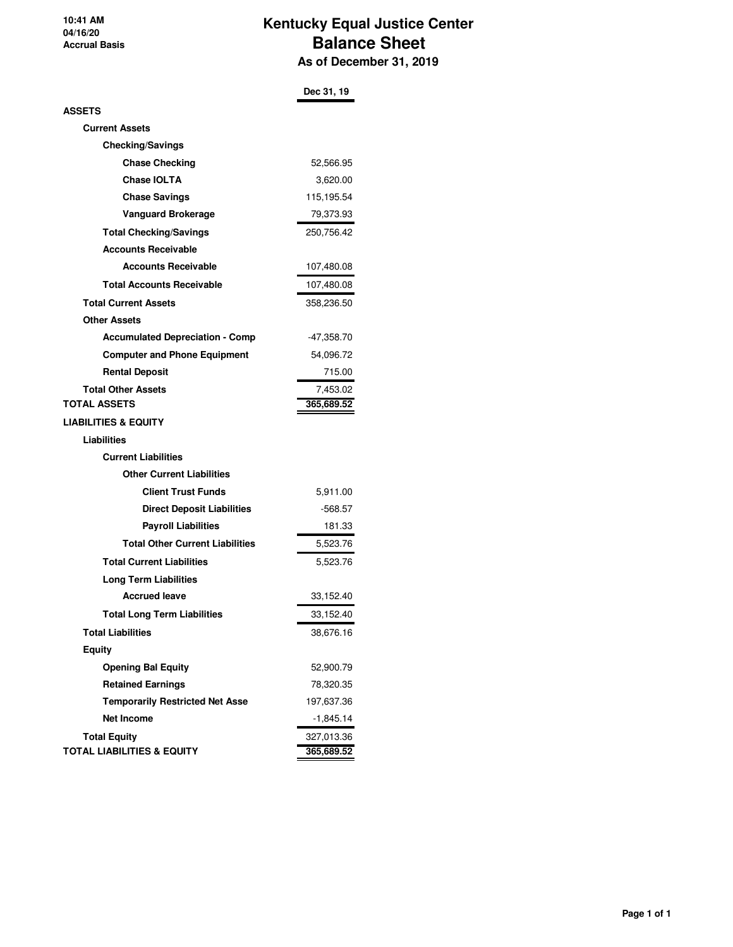**10:41 AM 04/16/20 Accrual Basis**

## **Kentucky Equal Justice Center Balance Sheet As of December 31, 2019**

|                                        | Dec 31, 19 |
|----------------------------------------|------------|
| ASSETS                                 |            |
| <b>Current Assets</b>                  |            |
| <b>Checking/Savings</b>                |            |
| <b>Chase Checking</b>                  | 52,566.95  |
| <b>Chase IOLTA</b>                     | 3,620.00   |
| <b>Chase Savings</b>                   | 115,195.54 |
| <b>Vanguard Brokerage</b>              | 79,373.93  |
| <b>Total Checking/Savings</b>          | 250,756.42 |
| <b>Accounts Receivable</b>             |            |
| <b>Accounts Receivable</b>             | 107,480.08 |
| <b>Total Accounts Receivable</b>       | 107,480.08 |
| <b>Total Current Assets</b>            | 358,236.50 |
| <b>Other Assets</b>                    |            |
| <b>Accumulated Depreciation - Comp</b> | -47,358.70 |
| <b>Computer and Phone Equipment</b>    | 54,096.72  |
| <b>Rental Deposit</b>                  | 715.00     |
| <b>Total Other Assets</b>              | 7,453.02   |
| <b>TOTAL ASSETS</b>                    | 365,689.52 |
| <b>LIABILITIES &amp; EQUITY</b>        |            |
| Liabilities                            |            |
| <b>Current Liabilities</b>             |            |
| <b>Other Current Liabilities</b>       |            |
| <b>Client Trust Funds</b>              | 5,911.00   |
| <b>Direct Deposit Liabilities</b>      | -568.57    |
| <b>Payroll Liabilities</b>             | 181.33     |
| <b>Total Other Current Liabilities</b> | 5,523.76   |
| <b>Total Current Liabilities</b>       | 5,523.76   |
| <b>Long Term Liabilities</b>           |            |
| <b>Accrued leave</b>                   | 33,152.40  |
| <b>Total Long Term Liabilities</b>     | 33,152.40  |
| <b>Total Liabilities</b>               | 38,676.16  |
| <b>Equity</b>                          |            |
| <b>Opening Bal Equity</b>              | 52,900.79  |
| <b>Retained Earnings</b>               | 78,320.35  |
| <b>Temporarily Restricted Net Asse</b> | 197,637.36 |
| <b>Net Income</b>                      | -1,845.14  |
| <b>Total Equity</b>                    | 327,013.36 |
| <b>TOTAL LIABILITIES &amp; EQUITY</b>  | 365,689.52 |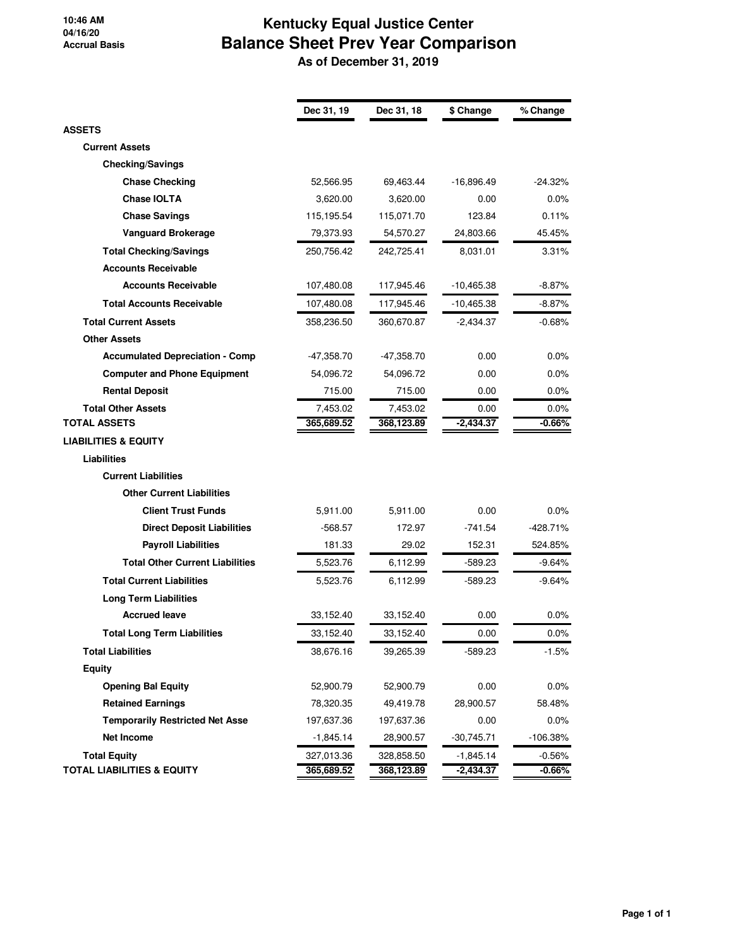#### **10:46 AM 04/16/20 Accrual Basis**

# **Kentucky Equal Justice Center Balance Sheet Prev Year Comparison**

 **As of December 31, 2019**

|                                        | Dec 31, 19 | Dec 31, 18 | \$ Change    | % Change   |
|----------------------------------------|------------|------------|--------------|------------|
| <b>ASSETS</b>                          |            |            |              |            |
| <b>Current Assets</b>                  |            |            |              |            |
| <b>Checking/Savings</b>                |            |            |              |            |
| <b>Chase Checking</b>                  | 52,566.95  | 69,463.44  | $-16,896.49$ | $-24.32%$  |
| <b>Chase IOLTA</b>                     | 3,620.00   | 3,620.00   | 0.00         | $0.0\%$    |
| <b>Chase Savings</b>                   | 115,195.54 | 115,071.70 | 123.84       | 0.11%      |
| Vanguard Brokerage                     | 79,373.93  | 54,570.27  | 24,803.66    | 45.45%     |
| <b>Total Checking/Savings</b>          | 250,756.42 | 242,725.41 | 8,031.01     | $3.31\%$   |
| <b>Accounts Receivable</b>             |            |            |              |            |
| <b>Accounts Receivable</b>             | 107,480.08 | 117,945.46 | $-10,465.38$ | $-8.87%$   |
| <b>Total Accounts Receivable</b>       | 107,480.08 | 117,945.46 | $-10,465.38$ | $-8.87%$   |
| <b>Total Current Assets</b>            | 358,236.50 | 360,670.87 | -2,434.37    | -0.68%     |
| <b>Other Assets</b>                    |            |            |              |            |
| <b>Accumulated Depreciation - Comp</b> | -47,358.70 | -47,358.70 | 0.00         | $0.0\%$    |
| <b>Computer and Phone Equipment</b>    | 54,096.72  | 54,096.72  | 0.00         | $0.0\%$    |
| <b>Rental Deposit</b>                  | 715.00     | 715.00     | 0.00         | $0.0\%$    |
| <b>Total Other Assets</b>              | 7,453.02   | 7,453.02   | 0.00         | $0.0\%$    |
| <b>TOTAL ASSETS</b>                    | 365,689.52 | 368,123.89 | $-2,434.37$  | -0.66%     |
| <b>LIABILITIES &amp; EQUITY</b>        |            |            |              |            |
| <b>Liabilities</b>                     |            |            |              |            |
| <b>Current Liabilities</b>             |            |            |              |            |
| <b>Other Current Liabilities</b>       |            |            |              |            |
| <b>Client Trust Funds</b>              | 5,911.00   | 5,911.00   | 0.00         | 0.0%       |
| <b>Direct Deposit Liabilities</b>      | -568.57    | 172.97     | -741.54      | -428.71%   |
| <b>Payroll Liabilities</b>             | 181.33     | 29.02      | 152.31       | 524.85%    |
| <b>Total Other Current Liabilities</b> | 5,523.76   | 6,112.99   | -589.23      | -9.64%     |
| <b>Total Current Liabilities</b>       | 5,523.76   | 6,112.99   | -589.23      | $-9.64%$   |
| <b>Long Term Liabilities</b>           |            |            |              |            |
| <b>Accrued leave</b>                   | 33,152.40  | 33,152.40  | 0.00         | 0.0%       |
| <b>Total Long Term Liabilities</b>     | 33,152.40  | 33,152.40  | 0.00         | $0.0\%$    |
| <b>Total Liabilities</b>               | 38,676.16  | 39,265.39  | -589.23      | $-1.5\%$   |
| Equity                                 |            |            |              |            |
| <b>Opening Bal Equity</b>              | 52,900.79  | 52,900.79  | 0.00         | 0.0%       |
| <b>Retained Earnings</b>               | 78,320.35  | 49,419.78  | 28,900.57    | 58.48%     |
| <b>Temporarily Restricted Net Asse</b> | 197,637.36 | 197,637.36 | 0.00         | $0.0\%$    |
| Net Income                             | -1,845.14  | 28,900.57  | $-30,745.71$ | $-106.38%$ |
| <b>Total Equity</b>                    | 327,013.36 | 328,858.50 | $-1,845.14$  | $-0.56%$   |
| <b>TOTAL LIABILITIES &amp; EQUITY</b>  | 365,689.52 | 368,123.89 | $-2,434.37$  | $-0.66%$   |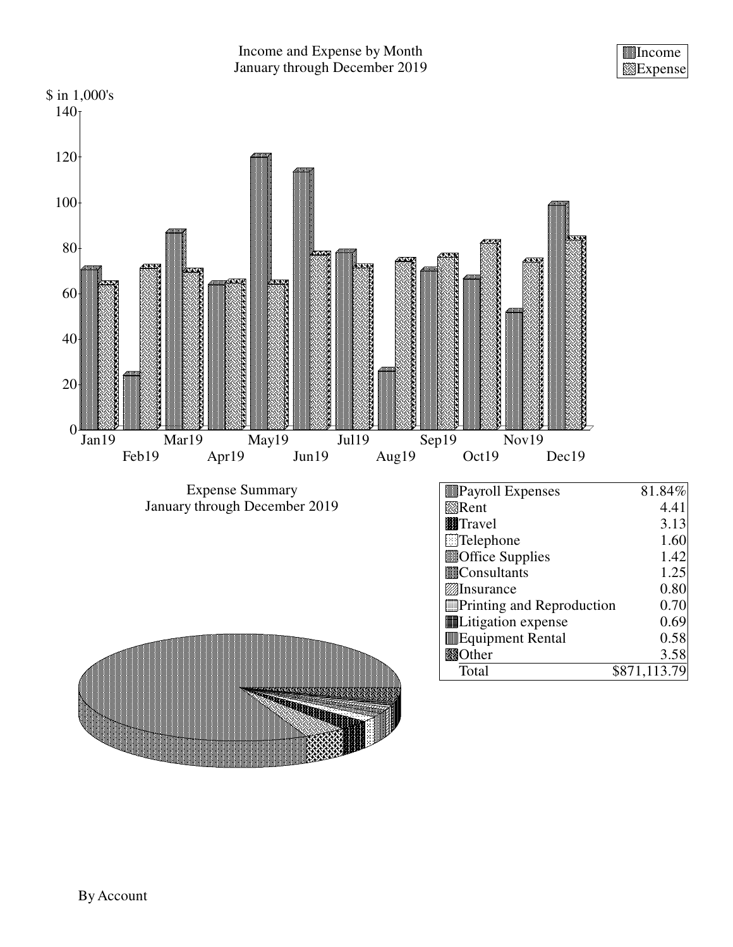

## Income and Expense by Month January through December 2019

Income